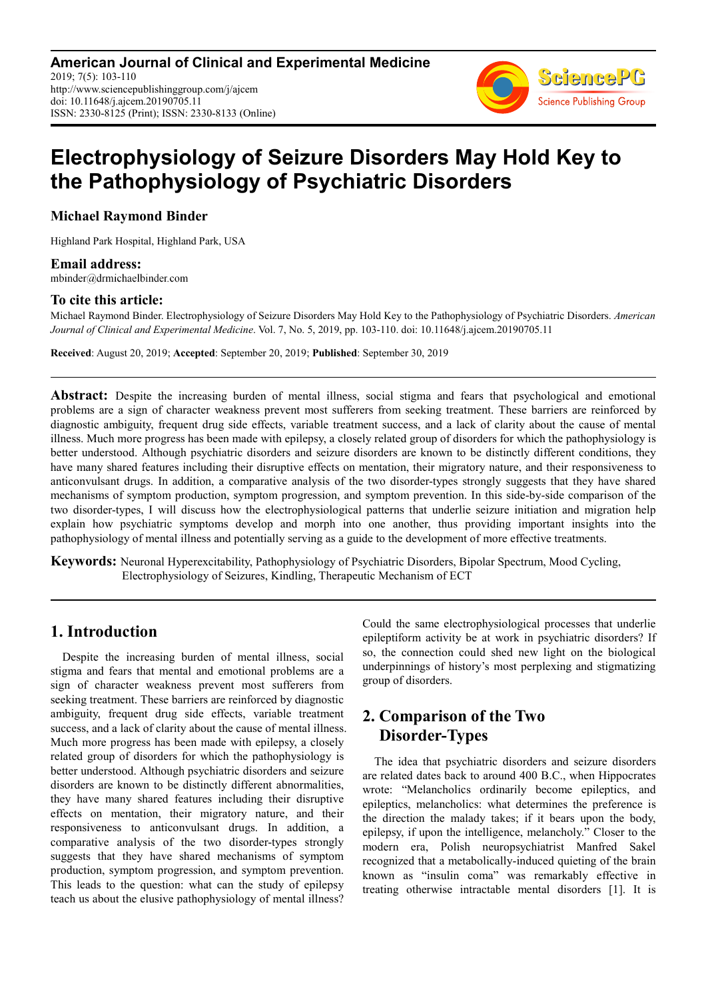**American Journal of Clinical and Experimental Medicine** 2019; 7(5): 103-110 http://www.sciencepublishinggroup.com/j/ajcem doi: 10.11648/j.ajcem.20190705.11 ISSN: 2330-8125 (Print); ISSN: 2330-8133 (Online)



# **Electrophysiology of Seizure Disorders May Hold Key to the Pathophysiology of Psychiatric Disorders**

**Michael Raymond Binder** 

Highland Park Hospital, Highland Park, USA

**Email address:**<br>mbinder@drmichaelbinder.com

#### **To cite this article:**

Michael Raymond Binder. Electrophysiology of Seizure Disorders May Hold Key to the Pathophysiology of Psychiatric Disorders. *American Journal of Clinical and Experimental Medicine*. Vol. 7, No. 5, 2019, pp. 103-110. doi: 10.11648/j.ajcem.20190705.11

**Received**: August 20, 2019; **Accepted**: September 20, 2019; **Published**: September 30, 2019

**Abstract:** Despite the increasing burden of mental illness, social stigma and fears that psychological and emotional problems are a sign of character weakness prevent most sufferers from seeking treatment. These barriers are reinforced by diagnostic ambiguity, frequent drug side effects, variable treatment success, and a lack of clarity about the cause of mental illness. Much more progress has been made with epilepsy, a closely related group of disorders for which the pathophysiology is better understood. Although psychiatric disorders and seizure disorders are known to be distinctly different conditions, they have many shared features including their disruptive effects on mentation, their migratory nature, and their responsiveness to anticonvulsant drugs. In addition, a comparative analysis of the two disorder-types strongly suggests that they have shared mechanisms of symptom production, symptom progression, and symptom prevention. In this side-by-side comparison of the two disorder-types, I will discuss how the electrophysiological patterns that underlie seizure initiation and migration help explain how psychiatric symptoms develop and morph into one another, thus providing important insights into the pathophysiology of mental illness and potentially serving as a guide to the development of more effective treatments.

**Keywords:** Neuronal Hyperexcitability, Pathophysiology of Psychiatric Disorders, Bipolar Spectrum, Mood Cycling, Electrophysiology of Seizures, Kindling, Therapeutic Mechanism of ECT

## **1. Introduction**

Despite the increasing burden of mental illness, social stigma and fears that mental and emotional problems are a sign of character weakness prevent most sufferers from seeking treatment. These barriers are reinforced by diagnostic ambiguity, frequent drug side effects, variable treatment success, and a lack of clarity about the cause of mental illness. Much more progress has been made with epilepsy, a closely related group of disorders for which the pathophysiology is better understood. Although psychiatric disorders and seizure disorders are known to be distinctly different abnormalities, they have many shared features including their disruptive effects on mentation, their migratory nature, and their responsiveness to anticonvulsant drugs. In addition, a comparative analysis of the two disorder-types strongly suggests that they have shared mechanisms of symptom production, symptom progression, and symptom prevention. This leads to the question: what can the study of epilepsy teach us about the elusive pathophysiology of mental illness?

Could the same electrophysiological processes that underlie epileptiform activity be at work in psychiatric disorders? If so, the connection could shed new light on the biological underpinnings of history's most perplexing and stigmatizing group of disorders.

## **2. Comparison of the Two Disorder-Types**

The idea that psychiatric disorders and seizure disorders are related dates back to around 400 B.C., when Hippocrates wrote: "Melancholics ordinarily become epileptics, and epileptics, melancholics: what determines the preference is the direction the malady takes; if it bears upon the body, epilepsy, if upon the intelligence, melancholy." Closer to the modern era, Polish neuropsychiatrist Manfred Sakel recognized that a metabolically-induced quieting of the brain known as "insulin coma" was remarkably effective in treating otherwise intractable mental disorders [1]. It is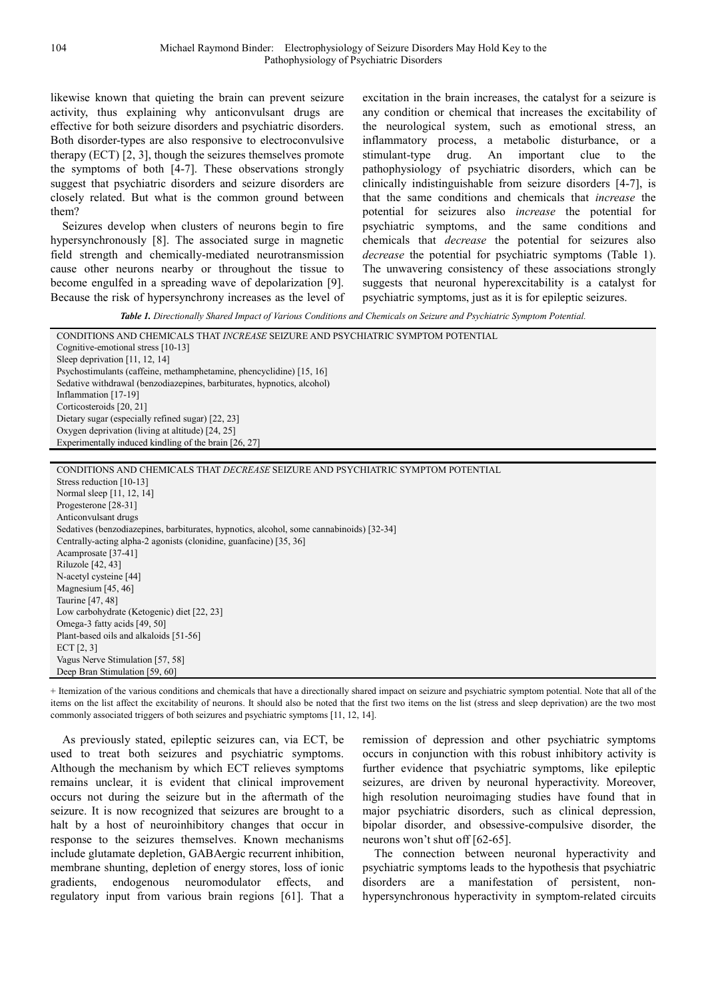likewise known that quieting the brain can prevent seizure activity, thus explaining why anticonvulsant drugs are effective for both seizure disorders and psychiatric disorders. Both disorder-types are also responsive to electroconvulsive therapy (ECT) [2, 3], though the seizures themselves promote the symptoms of both [4-7]. These observations strongly suggest that psychiatric disorders and seizure disorders are closely related. But what is the common ground between them?

Seizures develop when clusters of neurons begin to fire hypersynchronously [8]. The associated surge in magnetic field strength and chemically-mediated neurotransmission cause other neurons nearby or throughout the tissue to become engulfed in a spreading wave of depolarization [9]. Because the risk of hypersynchrony increases as the level of excitation in the brain increases, the catalyst for a seizure is any condition or chemical that increases the excitability of the neurological system, such as emotional stress, an inflammatory process, a metabolic disturbance, or a stimulant-type drug. An important clue to the pathophysiology of psychiatric disorders, which can be clinically indistinguishable from seizure disorders [4-7], is that the same conditions and chemicals that *increase* the potential for seizures also *increase* the potential for psychiatric symptoms, and the same conditions and chemicals that *decrease* the potential for seizures also *decrease* the potential for psychiatric symptoms (Table 1). The unwavering consistency of these associations strongly suggests that neuronal hyperexcitability is a catalyst for psychiatric symptoms, just as it is for epileptic seizures.

*Table 1. Directionally Shared Impact of Various Conditions and Chemicals on Seizure and Psychiatric Symptom Potential.* 

| CONDITIONS AND CHEMICALS THAT INCREASE SEIZURE AND PSYCHIATRIC SYMPTOM POTENTIAL         |
|------------------------------------------------------------------------------------------|
| Cognitive-emotional stress [10-13]                                                       |
| Sleep deprivation [11, 12, 14]                                                           |
| Psychostimulants (caffeine, methamphetamine, phencyclidine) [15, 16]                     |
| Sedative withdrawal (benzodiazepines, barbiturates, hypnotics, alcohol)                  |
| Inflammation [17-19]                                                                     |
| Corticosteroids [20, 21]                                                                 |
| Dietary sugar (especially refined sugar) [22, 23]                                        |
| Oxygen deprivation (living at altitude) [24, 25]                                         |
| Experimentally induced kindling of the brain [26, 27]                                    |
|                                                                                          |
| CONDITIONS AND CHEMICALS THAT <i>DECREASE</i> SEIZURE AND PSYCHIATRIC SYMPTOM POTENTIAL  |
| Stress reduction [10-13]                                                                 |
| Normal sleep [11, 12, 14]                                                                |
| Progesterone [28-31]                                                                     |
| Anticonvulsant drugs                                                                     |
| Sedatives (benzodiazepines, barbiturates, hypnotics, alcohol, some cannabinoids) [32-34] |
| Centrally-acting alpha-2 agonists (clonidine, guantacine) [35, 36]                       |
| Acamprosate [37-41]                                                                      |
| Riluzole [42, 43]                                                                        |
| N-acetyl cysteine [44]                                                                   |
| Magnesium [45, 46]                                                                       |
| Taurine [47, 48]                                                                         |
| Low carbohydrate (Ketogenic) diet [22, 23]                                               |
| Omega-3 fatty acids [49, 50]                                                             |
| Plant-based oils and alkaloids [51-56]                                                   |
| ECT $[2, 3]$                                                                             |
| Vagus Nerve Stimulation [57, 58]                                                         |
| Deep Bran Stimulation [59, 60]                                                           |
|                                                                                          |

+ Itemization of the various conditions and chemicals that have a directionally shared impact on seizure and psychiatric symptom potential. Note that all of the items on the list affect the excitability of neurons. It should also be noted that the first two items on the list (stress and sleep deprivation) are the two most commonly associated triggers of both seizures and psychiatric symptoms [11, 12, 14].

As previously stated, epileptic seizures can, via ECT, be used to treat both seizures and psychiatric symptoms. Although the mechanism by which ECT relieves symptoms remains unclear, it is evident that clinical improvement occurs not during the seizure but in the aftermath of the seizure. It is now recognized that seizures are brought to a halt by a host of neuroinhibitory changes that occur in response to the seizures themselves. Known mechanisms include glutamate depletion, GABAergic recurrent inhibition, membrane shunting, depletion of energy stores, loss of ionic gradients, endogenous neuromodulator effects, and regulatory input from various brain regions [61]. That a remission of depression and other psychiatric symptoms occurs in conjunction with this robust inhibitory activity is further evidence that psychiatric symptoms, like epileptic seizures, are driven by neuronal hyperactivity. Moreover, high resolution neuroimaging studies have found that in major psychiatric disorders, such as clinical depression, bipolar disorder, and obsessive-compulsive disorder, the neurons won't shut off [62-65].

The connection between neuronal hyperactivity and psychiatric symptoms leads to the hypothesis that psychiatric disorders are a manifestation of persistent, nonhypersynchronous hyperactivity in symptom-related circuits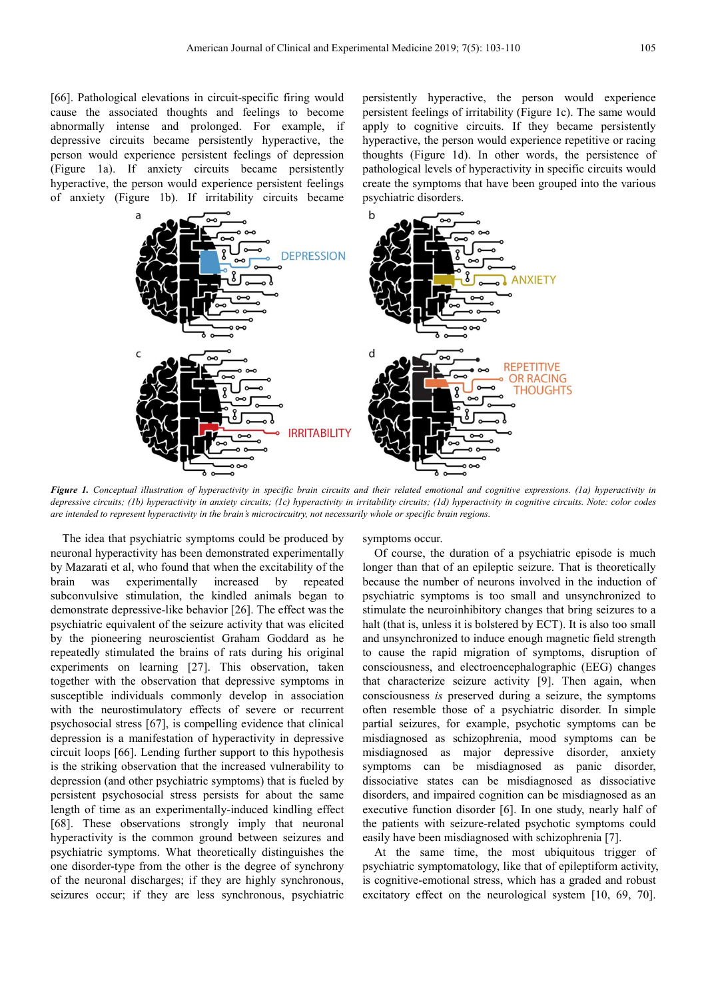[66]. Pathological elevations in circuit-specific firing would cause the associated thoughts and feelings to become abnormally intense and prolonged. For example, if depressive circuits became persistently hyperactive, the person would experience persistent feelings of depression (Figure 1a). If anxiety circuits became persistently hyperactive, the person would experience persistent feelings of anxiety (Figure 1b). If irritability circuits became persistently hyperactive, the person would experience persistent feelings of irritability (Figure 1c). The same would apply to cognitive circuits. If they became persistently hyperactive, the person would experience repetitive or racing thoughts (Figure 1d). In other words, the persistence of pathological levels of hyperactivity in specific circuits would create the symptoms that have been grouped into the various psychiatric disorders.



*Figure 1. Conceptual illustration of hyperactivity in specific brain circuits and their related emotional and cognitive expressions. (1a) hyperactivity in depressive circuits; (1b) hyperactivity in anxiety circuits; (1c) hyperactivity in irritability circuits; (1d) hyperactivity in cognitive circuits. Note: color codes are intended to represent hyperactivity in the brain's microcircuitry, not necessarily whole or specific brain regions.* 

The idea that psychiatric symptoms could be produced by neuronal hyperactivity has been demonstrated experimentally by Mazarati et al, who found that when the excitability of the brain was experimentally increased by repeated subconvulsive stimulation, the kindled animals began to demonstrate depressive-like behavior [26]. The effect was the psychiatric equivalent of the seizure activity that was elicited by the pioneering neuroscientist Graham Goddard as he repeatedly stimulated the brains of rats during his original experiments on learning [27]. This observation, taken together with the observation that depressive symptoms in susceptible individuals commonly develop in association with the neurostimulatory effects of severe or recurrent psychosocial stress [67], is compelling evidence that clinical depression is a manifestation of hyperactivity in depressive circuit loops [66]. Lending further support to this hypothesis is the striking observation that the increased vulnerability to depression (and other psychiatric symptoms) that is fueled by persistent psychosocial stress persists for about the same length of time as an experimentally-induced kindling effect [68]. These observations strongly imply that neuronal hyperactivity is the common ground between seizures and psychiatric symptoms. What theoretically distinguishes the one disorder-type from the other is the degree of synchrony of the neuronal discharges; if they are highly synchronous, seizures occur; if they are less synchronous, psychiatric symptoms occur.

Of course, the duration of a psychiatric episode is much longer than that of an epileptic seizure. That is theoretically because the number of neurons involved in the induction of psychiatric symptoms is too small and unsynchronized to stimulate the neuroinhibitory changes that bring seizures to a halt (that is, unless it is bolstered by ECT). It is also too small and unsynchronized to induce enough magnetic field strength to cause the rapid migration of symptoms, disruption of consciousness, and electroencephalographic (EEG) changes that characterize seizure activity [9]. Then again, when consciousness *is* preserved during a seizure, the symptoms often resemble those of a psychiatric disorder. In simple partial seizures, for example, psychotic symptoms can be misdiagnosed as schizophrenia, mood symptoms can be misdiagnosed as major depressive disorder, anxiety symptoms can be misdiagnosed as panic disorder, dissociative states can be misdiagnosed as dissociative disorders, and impaired cognition can be misdiagnosed as an executive function disorder [6]. In one study, nearly half of the patients with seizure-related psychotic symptoms could easily have been misdiagnosed with schizophrenia [7].

At the same time, the most ubiquitous trigger of psychiatric symptomatology, like that of epileptiform activity, is cognitive-emotional stress, which has a graded and robust excitatory effect on the neurological system [10, 69, 70].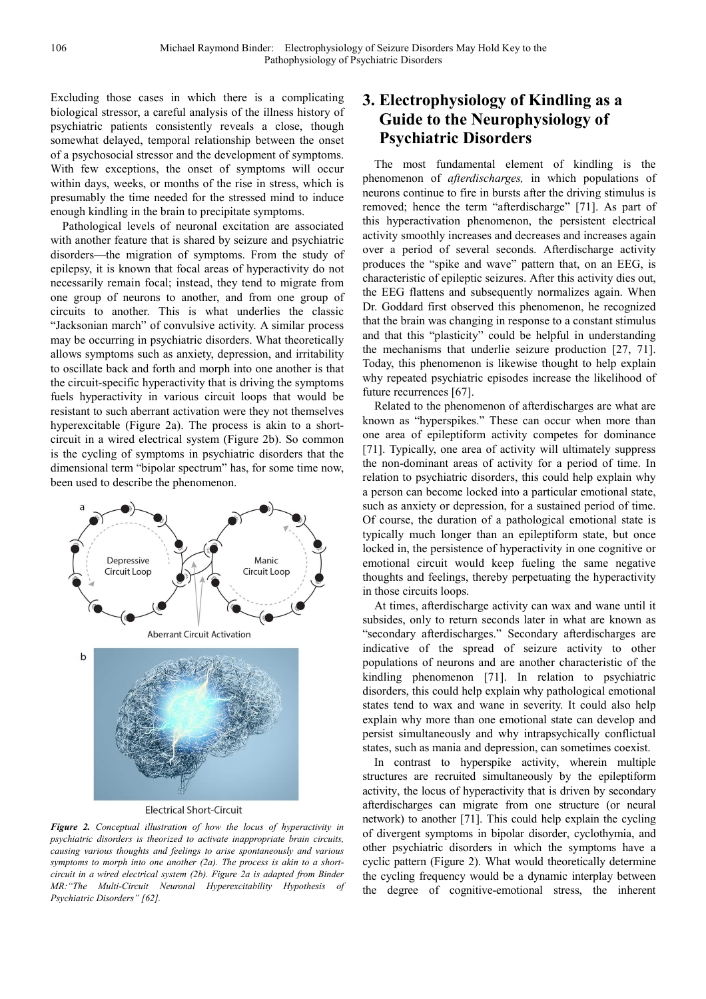Excluding those cases in which there is a complicating biological stressor, a careful analysis of the illness history of psychiatric patients consistently reveals a close, though somewhat delayed, temporal relationship between the onset of a psychosocial stressor and the development of symptoms. With few exceptions, the onset of symptoms will occur within days, weeks, or months of the rise in stress, which is presumably the time needed for the stressed mind to induce enough kindling in the brain to precipitate symptoms.

Pathological levels of neuronal excitation are associated with another feature that is shared by seizure and psychiatric disorders—the migration of symptoms. From the study of epilepsy, it is known that focal areas of hyperactivity do not necessarily remain focal; instead, they tend to migrate from one group of neurons to another, and from one group of circuits to another. This is what underlies the classic "Jacksonian march" of convulsive activity. A similar process may be occurring in psychiatric disorders. What theoretically allows symptoms such as anxiety, depression, and irritability to oscillate back and forth and morph into one another is that the circuit-specific hyperactivity that is driving the symptoms fuels hyperactivity in various circuit loops that would be resistant to such aberrant activation were they not themselves hyperexcitable (Figure 2a). The process is akin to a shortcircuit in a wired electrical system (Figure 2b). So common is the cycling of symptoms in psychiatric disorders that the dimensional term "bipolar spectrum" has, for some time now, been used to describe the phenomenon.



**Electrical Short-Circuit** 

*Figure 2. Conceptual illustration of how the locus of hyperactivity in psychiatric disorders is theorized to activate inappropriate brain circuits, causing various thoughts and feelings to arise spontaneously and various symptoms to morph into one another (2a). The process is akin to a shortcircuit in a wired electrical system (2b). Figure 2a is adapted from Binder MR:"The Multi-Circuit Neuronal Hyperexcitability Hypothesis of Psychiatric Disorders" [62].* 

## **3. Electrophysiology of Kindling as a Guide to the Neurophysiology of Psychiatric Disorders**

The most fundamental element of kindling is the phenomenon of *afterdischarges,* in which populations of neurons continue to fire in bursts after the driving stimulus is removed; hence the term "afterdischarge" [71]. As part of this hyperactivation phenomenon, the persistent electrical activity smoothly increases and decreases and increases again over a period of several seconds. Afterdischarge activity produces the "spike and wave" pattern that, on an EEG, is characteristic of epileptic seizures. After this activity dies out, the EEG flattens and subsequently normalizes again. When Dr. Goddard first observed this phenomenon, he recognized that the brain was changing in response to a constant stimulus and that this "plasticity" could be helpful in understanding the mechanisms that underlie seizure production [27, 71]. Today, this phenomenon is likewise thought to help explain why repeated psychiatric episodes increase the likelihood of future recurrences [67].

Related to the phenomenon of afterdischarges are what are known as "hyperspikes." These can occur when more than one area of epileptiform activity competes for dominance [71]. Typically, one area of activity will ultimately suppress the non-dominant areas of activity for a period of time. In relation to psychiatric disorders, this could help explain why a person can become locked into a particular emotional state, such as anxiety or depression, for a sustained period of time. Of course, the duration of a pathological emotional state is typically much longer than an epileptiform state, but once locked in, the persistence of hyperactivity in one cognitive or emotional circuit would keep fueling the same negative thoughts and feelings, thereby perpetuating the hyperactivity in those circuits loops.

At times, afterdischarge activity can wax and wane until it subsides, only to return seconds later in what are known as "secondary afterdischarges." Secondary afterdischarges are indicative of the spread of seizure activity to other populations of neurons and are another characteristic of the kindling phenomenon [71]. In relation to psychiatric disorders, this could help explain why pathological emotional states tend to wax and wane in severity. It could also help explain why more than one emotional state can develop and persist simultaneously and why intrapsychically conflictual states, such as mania and depression, can sometimes coexist.

In contrast to hyperspike activity, wherein multiple structures are recruited simultaneously by the epileptiform activity, the locus of hyperactivity that is driven by secondary afterdischarges can migrate from one structure (or neural network) to another [71]. This could help explain the cycling of divergent symptoms in bipolar disorder, cyclothymia, and other psychiatric disorders in which the symptoms have a cyclic pattern (Figure 2). What would theoretically determine the cycling frequency would be a dynamic interplay between the degree of cognitive-emotional stress, the inherent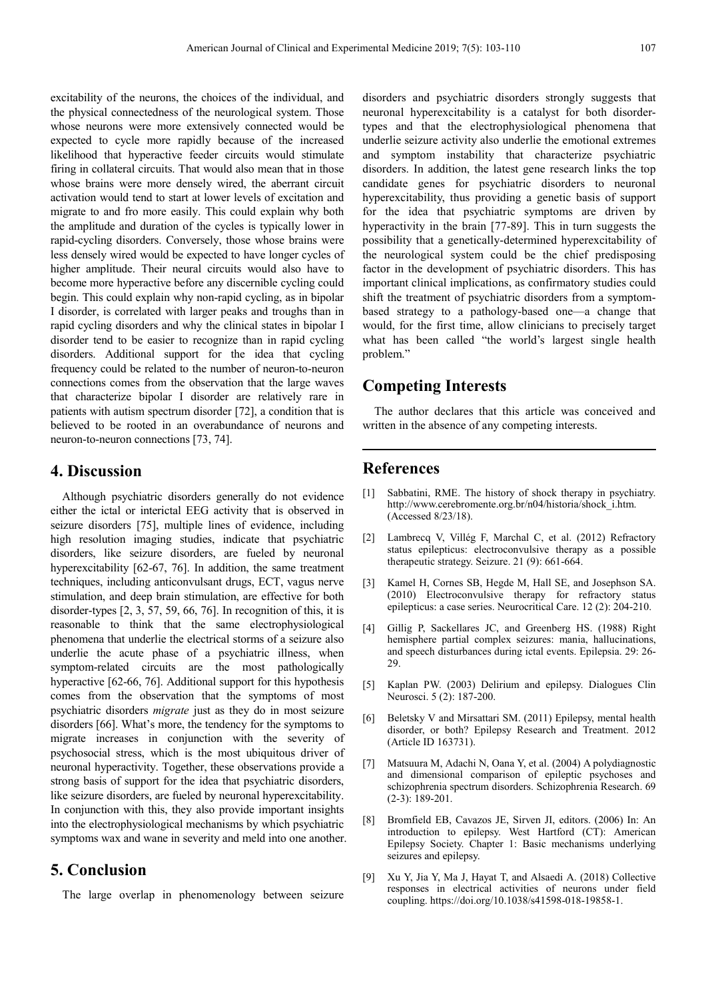excitability of the neurons, the choices of the individual, and the physical connectedness of the neurological system. Those whose neurons were more extensively connected would be expected to cycle more rapidly because of the increased likelihood that hyperactive feeder circuits would stimulate firing in collateral circuits. That would also mean that in those whose brains were more densely wired, the aberrant circuit activation would tend to start at lower levels of excitation and migrate to and fro more easily. This could explain why both the amplitude and duration of the cycles is typically lower in rapid-cycling disorders. Conversely, those whose brains were less densely wired would be expected to have longer cycles of higher amplitude. Their neural circuits would also have to become more hyperactive before any discernible cycling could begin. This could explain why non-rapid cycling, as in bipolar I disorder, is correlated with larger peaks and troughs than in rapid cycling disorders and why the clinical states in bipolar I disorder tend to be easier to recognize than in rapid cycling disorders. Additional support for the idea that cycling frequency could be related to the number of neuron-to-neuron connections comes from the observation that the large waves that characterize bipolar I disorder are relatively rare in patients with autism spectrum disorder [72], a condition that is believed to be rooted in an overabundance of neurons and neuron-to-neuron connections [73, 74].

#### **4. Discussion**

Although psychiatric disorders generally do not evidence either the ictal or interictal EEG activity that is observed in seizure disorders [75], multiple lines of evidence, including high resolution imaging studies, indicate that psychiatric disorders, like seizure disorders, are fueled by neuronal hyperexcitability [62-67, 76]. In addition, the same treatment techniques, including anticonvulsant drugs, ECT, vagus nerve stimulation, and deep brain stimulation, are effective for both disorder-types [2, 3, 57, 59, 66, 76]. In recognition of this, it is reasonable to think that the same electrophysiological phenomena that underlie the electrical storms of a seizure also underlie the acute phase of a psychiatric illness, when symptom-related circuits are the most pathologically hyperactive [62-66, 76]. Additional support for this hypothesis comes from the observation that the symptoms of most psychiatric disorders *migrate* just as they do in most seizure disorders [66]. What's more, the tendency for the symptoms to migrate increases in conjunction with the severity of psychosocial stress, which is the most ubiquitous driver of neuronal hyperactivity. Together, these observations provide a strong basis of support for the idea that psychiatric disorders, like seizure disorders, are fueled by neuronal hyperexcitability. In conjunction with this, they also provide important insights into the electrophysiological mechanisms by which psychiatric symptoms wax and wane in severity and meld into one another.

## **5. Conclusion**

The large overlap in phenomenology between seizure

disorders and psychiatric disorders strongly suggests that neuronal hyperexcitability is a catalyst for both disordertypes and that the electrophysiological phenomena that underlie seizure activity also underlie the emotional extremes and symptom instability that characterize psychiatric disorders. In addition, the latest gene research links the top candidate genes for psychiatric disorders to neuronal hyperexcitability, thus providing a genetic basis of support for the idea that psychiatric symptoms are driven by hyperactivity in the brain [77-89]. This in turn suggests the possibility that a genetically-determined hyperexcitability of the neurological system could be the chief predisposing factor in the development of psychiatric disorders. This has important clinical implications, as confirmatory studies could shift the treatment of psychiatric disorders from a symptombased strategy to a pathology-based one—a change that would, for the first time, allow clinicians to precisely target what has been called "the world's largest single health problem."

## **Competing Interests**

The author declares that this article was conceived and written in the absence of any competing interests.

### **References**

- [1] Sabbatini, RME. The history of shock therapy in psychiatry. http://www.cerebromente.org.br/n04/historia/shock\_i.htm. (Accessed 8/23/18).
- [2] Lambrecq V, Villég F, Marchal C, et al. (2012) Refractory status epilepticus: electroconvulsive therapy as a possible therapeutic strategy. Seizure. 21 (9): 661-664.
- [3] Kamel H, Cornes SB, Hegde M, Hall SE, and Josephson SA. (2010) Electroconvulsive therapy for refractory status epilepticus: a case series. Neurocritical Care. 12 (2): 204-210.
- [4] Gillig P, Sackellares JC, and Greenberg HS. (1988) Right hemisphere partial complex seizures: mania, hallucinations, and speech disturbances during ictal events. Epilepsia. 29: 26- 29.
- [5] Kaplan PW. (2003) Delirium and epilepsy. Dialogues Clin Neurosci. 5 (2): 187-200.
- [6] Beletsky V and Mirsattari SM. (2011) Epilepsy, mental health disorder, or both? Epilepsy Research and Treatment. 2012 (Article ID 163731).
- [7] Matsuura M, Adachi N, Oana Y, et al. (2004) A polydiagnostic and dimensional comparison of epileptic psychoses and schizophrenia spectrum disorders. Schizophrenia Research. 69 (2-3): 189-201.
- [8] Bromfield EB, Cavazos JE, Sirven JI, editors. (2006) In: An introduction to epilepsy. West Hartford (CT): American Epilepsy Society. Chapter 1: Basic mechanisms underlying seizures and epilepsy.
- [9] Xu Y, Jia Y, Ma J, Hayat T, and Alsaedi A. (2018) Collective responses in electrical activities of neurons under field coupling. https://doi.org/10.1038/s41598-018-19858-1.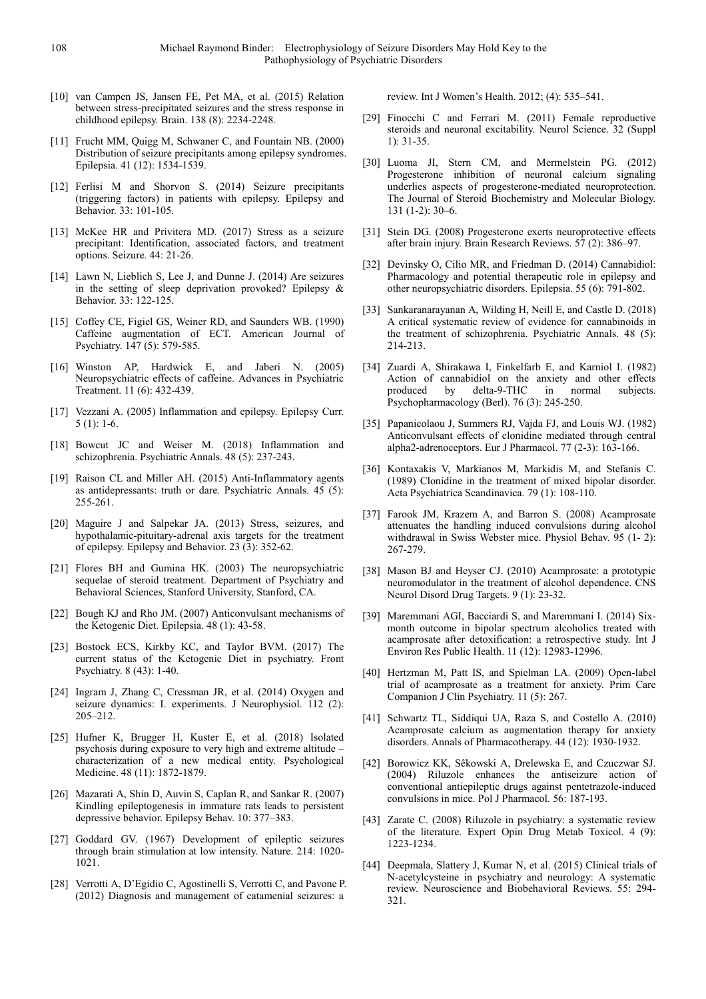- [10] van Campen JS, Jansen FE, Pet MA, et al. (2015) Relation between stress-precipitated seizures and the stress response in childhood epilepsy. Brain. 138 (8): 2234-2248.
- [11] Frucht MM, Quigg M, Schwaner C, and Fountain NB. (2000) Distribution of seizure precipitants among epilepsy syndromes. Epilepsia. 41 (12): 1534-1539.
- [12] Ferlisi M and Shorvon S. (2014) Seizure precipitants (triggering factors) in patients with epilepsy. Epilepsy and Behavior. 33: 101-105.
- [13] McKee HR and Privitera MD. (2017) Stress as a seizure precipitant: Identification, associated factors, and treatment options. Seizure. 44: 21-26.
- [14] Lawn N, Lieblich S, Lee J, and Dunne J. (2014) Are seizures in the setting of sleep deprivation provoked? Epilepsy & Behavior. 33: 122-125.
- [15] Coffey CE, Figiel GS, Weiner RD, and Saunders WB. (1990) Caffeine augmentation of ECT. American Journal of Psychiatry. 147 (5): 579-585.
- [16] Winston AP, Hardwick E, and Jaberi N. (2005) Neuropsychiatric effects of caffeine. Advances in Psychiatric Treatment. 11 (6): 432-439.
- [17] Vezzani A. (2005) Inflammation and epilepsy. Epilepsy Curr. 5 (1): 1-6.
- [18] Bowcut JC and Weiser M. (2018) Inflammation and schizophrenia. Psychiatric Annals. 48 (5): 237-243.
- [19] Raison CL and Miller AH. (2015) Anti-Inflammatory agents as antidepressants: truth or dare. Psychiatric Annals. 45 (5): 255-261.
- [20] Maguire J and Salpekar JA. (2013) Stress, seizures, and hypothalamic-pituitary-adrenal axis targets for the treatment of epilepsy. Epilepsy and Behavior. 23 (3): 352-62.
- [21] Flores BH and Gumina HK. (2003) The neuropsychiatric sequelae of steroid treatment. Department of Psychiatry and Behavioral Sciences, Stanford University, Stanford, CA.
- [22] Bough KJ and Rho JM. (2007) Anticonvulsant mechanisms of the Ketogenic Diet. Epilepsia. 48 (1): 43-58.
- [23] Bostock ECS, Kirkby KC, and Taylor BVM. (2017) The current status of the Ketogenic Diet in psychiatry. Front Psychiatry. 8 (43): 1-40.
- [24] Ingram J, Zhang C, Cressman JR, et al. (2014) Oxygen and seizure dynamics: I. experiments. J Neurophysiol. 112 (2): 205–212.
- [25] Hufner K, Brugger H, Kuster E, et al. (2018) Isolated psychosis during exposure to very high and extreme altitude – characterization of a new medical entity. Psychological Medicine. 48 (11): 1872-1879.
- [26] Mazarati A, Shin D, Auvin S, Caplan R, and Sankar R. (2007) Kindling epileptogenesis in immature rats leads to persistent depressive behavior. Epilepsy Behav. 10: 377–383.
- [27] Goddard GV. (1967) Development of epileptic seizures through brain stimulation at low intensity. Nature. 214: 1020- 1021.
- [28] Verrotti A, D'Egidio C, Agostinelli S, Verrotti C, and Pavone P. (2012) Diagnosis and management of catamenial seizures: a

review. Int J Women's Health. 2012; (4): 535–541.

- [29] Finocchi C and Ferrari M. (2011) Female reproductive steroids and neuronal excitability. Neurol Science. 32 (Suppl 1): 31-35.
- [30] Luoma JI, Stern CM, and Mermelstein PG. (2012) Progesterone inhibition of neuronal calcium signaling underlies aspects of progesterone-mediated neuroprotection. The Journal of Steroid Biochemistry and Molecular Biology. 131 (1-2): 30–6.
- [31] Stein DG. (2008) Progesterone exerts neuroprotective effects after brain injury. Brain Research Reviews. 57 (2): 386–97.
- [32] Devinsky O, Cilio MR, and Friedman D. (2014) Cannabidiol: Pharmacology and potential therapeutic role in epilepsy and other neuropsychiatric disorders. Epilepsia. 55 (6): 791-802.
- [33] Sankaranarayanan A, Wilding H, Neill E, and Castle D, (2018) A critical systematic review of evidence for cannabinoids in the treatment of schizophrenia. Psychiatric Annals. 48 (5): 214-213.
- [34] Zuardi A, Shirakawa I, Finkelfarb E, and Karniol I. (1982) Action of cannabidiol on the anxiety and other effects produced by delta-9-THC in normal subjects. produced by delta-9-THC in normal subjects. Psychopharmacology (Berl). 76 (3): 245-250.
- [35] Papanicolaou J, Summers RJ, Vajda FJ, and Louis WJ. (1982) Anticonvulsant effects of clonidine mediated through central alpha2-adrenoceptors. Eur J Pharmacol. 77 (2-3): 163-166.
- [36] Kontaxakis V, Markianos M, Markidis M, and Stefanis C. (1989) Clonidine in the treatment of mixed bipolar disorder. Acta Psychiatrica Scandinavica. 79 (1): 108-110.
- [37] Farook JM, Krazem A, and Barron S. (2008) Acamprosate attenuates the handling induced convulsions during alcohol withdrawal in Swiss Webster mice. Physiol Behav. 95 (1- 2): 267-279.
- [38] Mason BJ and Heyser CJ. (2010) Acamprosate: a prototypic neuromodulator in the treatment of alcohol dependence. CNS Neurol Disord Drug Targets. 9 (1): 23-32.
- [39] Maremmani AGI, Bacciardi S, and Maremmani I. (2014) Sixmonth outcome in bipolar spectrum alcoholics treated with acamprosate after detoxification: a retrospective study. Int J Environ Res Public Health. 11 (12): 12983-12996.
- [40] Hertzman M, Patt IS, and Spielman LA. (2009) Open-label trial of acamprosate as a treatment for anxiety. Prim Care Companion J Clin Psychiatry. 11 (5): 267.
- [41] Schwartz TL, Siddiqui UA, Raza S, and Costello A. (2010) Acamprosate calcium as augmentation therapy for anxiety disorders. Annals of Pharmacotherapy. 44 (12): 1930-1932.
- [42] Borowicz KK, Sêkowski A, Drelewska E, and Czuczwar SJ. (2004) Riluzole enhances the antiseizure action of conventional antiepileptic drugs against pentetrazole-induced convulsions in mice. Pol J Pharmacol. 56: 187-193.
- [43] Zarate C. (2008) Riluzole in psychiatry: a systematic review of the literature. Expert Opin Drug Metab Toxicol. 4 (9): 1223-1234.
- [44] Deepmala, Slattery J, Kumar N, et al. (2015) Clinical trials of N-acetylcysteine in psychiatry and neurology: A systematic review. Neuroscience and Biobehavioral Reviews. 55: 294- 321.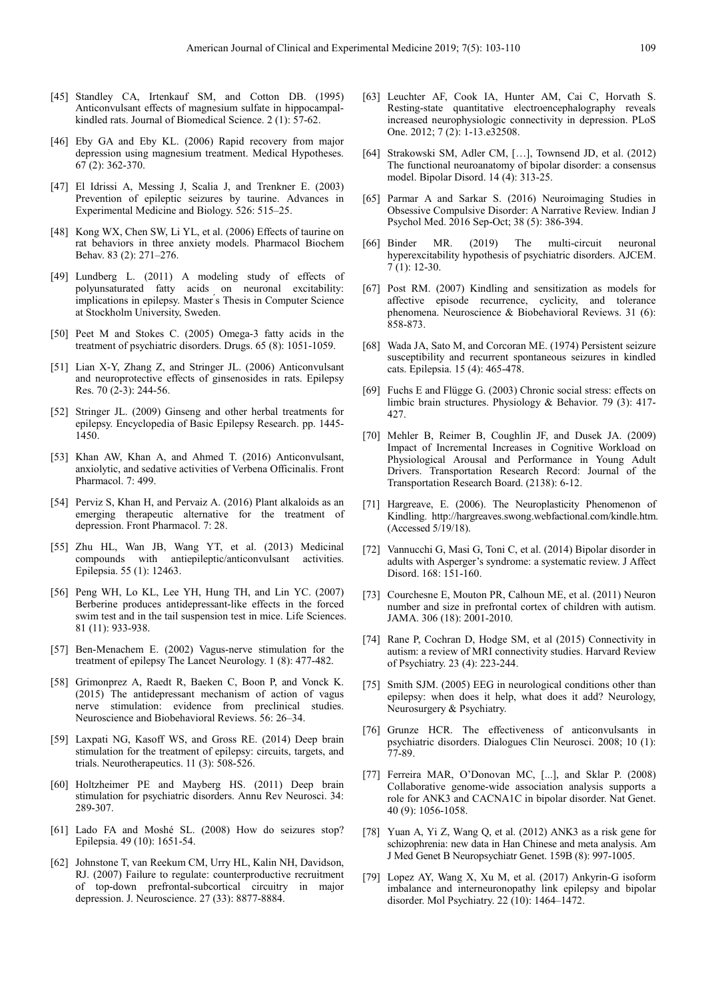- [45] Standley CA, Irtenkauf SM, and Cotton DB. (1995) Anticonvulsant effects of magnesium sulfate in hippocampalkindled rats. Journal of Biomedical Science. 2 (1): 57-62.
- [46] Eby GA and Eby KL. (2006) Rapid recovery from major depression using magnesium treatment. Medical Hypotheses. 67 (2): 362-370.
- [47] El Idrissi A, Messing J, Scalia J, and Trenkner E. (2003) Prevention of epileptic seizures by taurine. Advances in Experimental Medicine and Biology. 526: 515–25.
- [48] Kong WX, Chen SW, Li YL, et al. (2006) Effects of taurine on rat behaviors in three anxiety models. Pharmacol Biochem Behav. 83 (2): 271–276.
- [49] Lundberg L. (2011) A modeling study of effects of polyunsaturated fatty acids on neuronal excitability: implications in epilepsy. Master ́s Thesis in Computer Science at Stockholm University, Sweden.
- [50] Peet M and Stokes C. (2005) Omega-3 fatty acids in the treatment of psychiatric disorders. Drugs. 65 (8): 1051-1059.
- [51] Lian X-Y, Zhang Z, and Stringer JL. (2006) Anticonvulsant and neuroprotective effects of ginsenosides in rats. Epilepsy Res. 70 (2-3): 244-56.
- [52] Stringer JL. (2009) Ginseng and other herbal treatments for epilepsy. Encyclopedia of Basic Epilepsy Research. pp. 1445- 1450.
- [53] Khan AW, Khan A, and Ahmed T. (2016) Anticonvulsant, anxiolytic, and sedative activities of Verbena Officinalis. Front Pharmacol. 7: 499.
- [54] Perviz S, Khan H, and Pervaiz A. (2016) Plant alkaloids as an emerging therapeutic alternative for the treatment of depression. Front Pharmacol. 7: 28.
- [55] Zhu HL, Wan JB, Wang YT, et al. (2013) Medicinal compounds with antiepileptic/anticonvulsant activities. Epilepsia. 55 (1): 12463.
- [56] Peng WH, Lo KL, Lee YH, Hung TH, and Lin YC. (2007) Berberine produces antidepressant-like effects in the forced swim test and in the tail suspension test in mice. Life Sciences. 81 (11): 933-938.
- [57] Ben-Menachem E. (2002) Vagus-nerve stimulation for the treatment of epilepsy The Lancet Neurology. 1 (8): 477-482.
- [58] Grimonprez A, Raedt R, Baeken C, Boon P, and Vonck K. (2015) The antidepressant mechanism of action of vagus nerve stimulation: evidence from preclinical studies. Neuroscience and Biobehavioral Reviews. 56: 26–34.
- [59] Laxpati NG, Kasoff WS, and Gross RE. (2014) Deep brain stimulation for the treatment of epilepsy: circuits, targets, and trials. Neurotherapeutics. 11 (3): 508-526.
- [60] Holtzheimer PE and Mayberg HS. (2011) Deep brain stimulation for psychiatric disorders. Annu Rev Neurosci. 34: 289-307.
- [61] Lado FA and Moshé SL. (2008) How do seizures stop? Epilepsia. 49 (10): 1651-54.
- [62] Johnstone T, van Reekum CM, Urry HL, Kalin NH, Davidson, RJ. (2007) Failure to regulate: counterproductive recruitment of top-down prefrontal-subcortical circuitry in major depression. J. Neuroscience. 27 (33): 8877-8884.
- [63] Leuchter AF, Cook IA, Hunter AM, Cai C, Horvath S. Resting-state quantitative electroencephalography reveals increased neurophysiologic connectivity in depression. PLoS One. 2012; 7 (2): 1-13.e32508.
- [64] Strakowski SM, Adler CM, […], Townsend JD, et al. (2012) The functional neuroanatomy of bipolar disorder: a consensus model. Bipolar Disord. 14 (4): 313-25.
- [65] Parmar A and Sarkar S. (2016) Neuroimaging Studies in Obsessive Compulsive Disorder: A Narrative Review. Indian J Psychol Med. 2016 Sep-Oct; 38 (5): 386-394.
- [66] Binder MR. (2019) The multi-circuit neuronal hyperexcitability hypothesis of psychiatric disorders. AJCEM.  $7(1): 12-30.$
- [67] Post RM. (2007) Kindling and sensitization as models for affective episode recurrence, cyclicity, and tolerance phenomena. Neuroscience & Biobehavioral Reviews. 31 (6): 858-873.
- [68] Wada JA, Sato M, and Corcoran ME. (1974) Persistent seizure susceptibility and recurrent spontaneous seizures in kindled cats. Epilepsia. 15 (4): 465-478.
- [69] Fuchs E and Flügge G. (2003) Chronic social stress: effects on limbic brain structures. Physiology & Behavior. 79 (3): 417- 427.
- [70] Mehler B, Reimer B, Coughlin JF, and Dusek JA. (2009) Impact of Incremental Increases in Cognitive Workload on Physiological Arousal and Performance in Young Adult Drivers. Transportation Research Record: Journal of the Transportation Research Board. (2138): 6-12.
- [71] Hargreave, E. (2006). The Neuroplasticity Phenomenon of Kindling. http://hargreaves.swong.webfactional.com/kindle.htm. (Accessed 5/19/18).
- [72] Vannucchi G, Masi G, Toni C, et al. (2014) Bipolar disorder in adults with Asperger's syndrome: a systematic review. J Affect Disord. 168: 151-160.
- [73] Courchesne E, Mouton PR, Calhoun ME, et al. (2011) Neuron number and size in prefrontal cortex of children with autism. JAMA. 306 (18): 2001-2010.
- [74] Rane P, Cochran D, Hodge SM, et al (2015) Connectivity in autism: a review of MRI connectivity studies. Harvard Review of Psychiatry. 23 (4): 223-244.
- [75] Smith SJM. (2005) EEG in neurological conditions other than epilepsy: when does it help, what does it add? Neurology, Neurosurgery & Psychiatry.
- [76] Grunze HCR. The effectiveness of anticonvulsants in psychiatric disorders. Dialogues Clin Neurosci. 2008; 10 (1): 77-89.
- [77] Ferreira MAR, O'Donovan MC, [...], and Sklar P. (2008) Collaborative genome-wide association analysis supports a role for ANK3 and CACNA1C in bipolar disorder. Nat Genet. 40 (9): 1056-1058.
- [78] Yuan A, Yi Z, Wang Q, et al. (2012) ANK3 as a risk gene for schizophrenia: new data in Han Chinese and meta analysis. Am J Med Genet B Neuropsychiatr Genet. 159B (8): 997-1005.
- [79] Lopez AY, Wang X, Xu M, et al. (2017) Ankyrin-G isoform imbalance and interneuronopathy link epilepsy and bipolar disorder. Mol Psychiatry. 22 (10): 1464–1472.